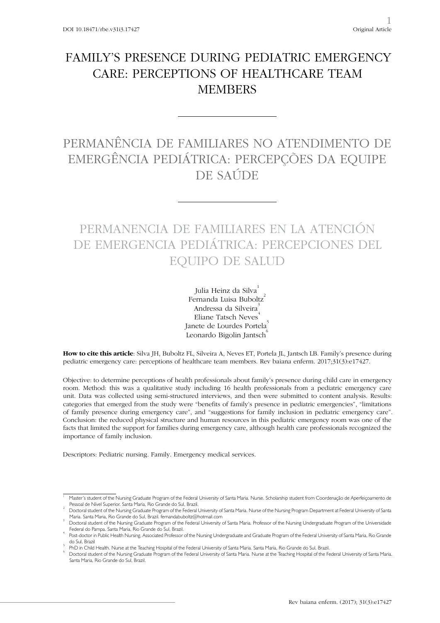## FAMILY'S PRESENCE DURING PEDIATRIC EMERGENCY CARE: PERCEPTIONS OF HEALTHCARE TEAM **MEMBERS**

# PERMANÊNCIA DE FAMILIARES NO ATENDIMENTO DE EMERGÊNCIA PEDIÁTRICA: PERCEPÇÕES DA EQUIPE DE SAÚDE

# PERMANENCIA DE FAMILIARES EN LA ATENCIÓN DE EMERGENCIA PEDIÁTRICA: PERCEPCIONES DEL EQUIPO DE SALUD

Julia Heinz da Silva<sup>1</sup> Fernanda Luisa Buboltz<sup>2</sup> Andressa da Silveira<sup>3</sup> Eliane Tatsch Neves<sup>4</sup> Janete de Lourdes Portela<sup>3</sup> Leonardo Bigolin Jantsch

**How to cite this article**: Silva JH, Buboltz FL, Silveira A, Neves ET, Portela JL, Jantsch LB. Family's presence during pediatric emergency care: perceptions of healthcare team members. Rev baiana enferm. 2017;31(3):e17427.

Objective: to determine perceptions of health professionals about family's presence during child care in emergency room. Method: this was a qualitative study including 16 health professionals from a pediatric emergency care unit. Data was collected using semi-structured interviews, and then were submitted to content analysis. Results: categories that emerged from the study were "benefits of family's presence in pediatric emergencies", "limitations of family presence during emergency care", and "suggestions for family inclusion in pediatric emergency care". Conclusion: the reduced physical structure and human resources in this pediatric emergency room was one of the facts that limited the support for families during emergency care, although health care professionals recognized the importance of family inclusion.

Descriptors: Pediatric nursing. Family. Emergency medical services.

<sup>1</sup> Master's student of the Nursing Graduate Program of the Federal University of Santa Maria. Nurse. Scholarship student from Coordenação de Aperfeiçoamento de Pessoal de Nível Superior. Santa Maria, Rio Grande do Sul, Brazil. <sup>2</sup>

Doctoral student of the Nursing Graduate Program of the Federal University of Santa Maria. Nurse of the Nursing Program Department at Federal University of Santa Maria. Santa Maria, Rio Grande do Sul, Brazil. fernandabuboltz@hotmail.com <sup>3</sup>

Doctoral student of the Nursing Graduate Program of the Federal University of Santa Maria. Professor of the Nursing Undergraduate Program of the Universidade Federal do Pampa. Santa Maria, Rio Grande do Sul, Brazil. <sup>4</sup>

Post-doctor in Public Health Nursing. Associated Professor of the Nursing Undergraduate and Graduate Program of the Federal University of Santa Maria, Rio Grande do Sul, Brazil <sup>5</sup>

PhD in Child Health. Nurse at the Teaching Hospital of the Federal University of Santa Maria. Santa Maria, Rio Grande do Sul, Brazil.

Doctoral student of the Nursing Graduate Program of the Federal University of Santa Maria. Nurse at the Teaching Hospital of the Federal University of Santa Maria. Santa Maria, Rio Grande do Sul, Brazil.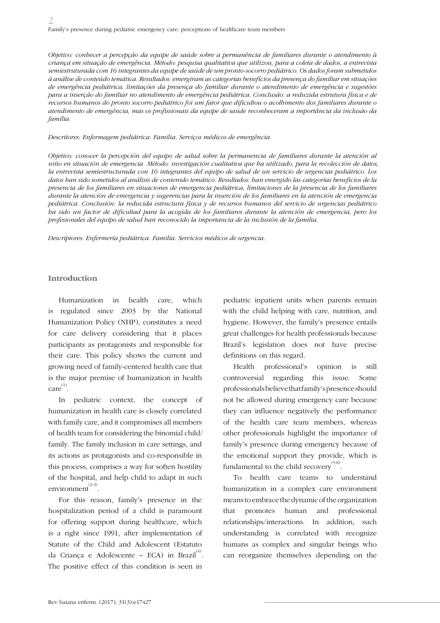*Objetivo: conhecer a percepção da equipe de saúde sobre a permanência de familiares durante o atendimento à criança em situação de emergência. Método: pesquisa qualitativa que utilizou, para a coleta de dados, a entrevista semiestruturada com 16 integrantes da equipe de saúde de um pronto-socorro pediátrico. Os dados foram submetidos à análise de conteúdo temática. Resultados: emergiram as categorias benefícios da presença do familiar em situações de emergência pediátrica, limitações da presença do familiar durante o atendimento de emergência e sugestões para a inserção do familiar no atendimento de emergência pediátrica. Conclusão: a reduzida estrutura física e de recursos humanos do pronto socorro pediátrico foi um fator que dificultou o acolhimento dos familiares durante o atendimento de emergência, mas os profissionais da equipe de saúde reconheceram a importância da inclusão da família.*

#### *Descritores: Enfermagem pediátrica. Família. Serviços médicos de emergência.*

*Objetivo: conocer la percepción del equipo de salud sobre la permanencia de familiares durante la atención al niño en situación de emergencia. Método: investigación cualitativa que ha utilizado, para la recolección de datos, la entrevista semiestructurada con 16 integrantes del equipo de salud de un servicio de urgencias pediátrico. Los datos han sido sometidos al análisis de contenido temático. Resultados: han emergido las categorías beneficios de la presencia de los familiares en situaciones de emergencia pediátrica, limitaciones de la presencia de los familiares durante la atención de emergencia y sugerencias para la inserción de los familiares en la atención de emergencia pediátrica. Conclusión: la reducida estructura física y de recursos humanos del servicio de urgencias pediátrico ha sido un factor de dificultad para la acogida de los familiares durante la atención de emergencia, pero los profesionales del equipo de salud han reconocido la importancia de la inclusión de la familia.*

*Descriptores: Enfermería pediátrica. Familia. Servicios médicos de urgencia.*

### **Introduction**

Humanization in health care, which is regulated since 2003 by the National Humanization Policy (NHP), constitutes a need for care delivery considering that it places participants as protagonists and responsible for their care. This policy shows the current and growing need of family-centered health care that is the major premise of humanization in health care (1) .

In pediatric context, the concept of humanization in health care is closely correlated with family care, and it compromises all members of health team for considering the binomial child/ family. The family inclusion in care settings, and its actions as protagonists and co-responsible in this process, comprises a way for soften hostility of the hospital, and help child to adapt in such environment $^{(2-3)}$ .

For this reason, family's presence in the hospitalization period of a child is paramount for offering support during healthcare, which is a right since 1991, after implementation of Statute of the Child and Adolescent (Estatuto da Criança e Adolescente – ECA) in Brazil $^{(4)}$ . The positive effect of this condition is seen in

pediatric inpatient units when parents remain with the child helping with care, nutrition, and hygiene. However, the family's presence entails great challenges for health professionals because Brazil's legislation does not have precise definitions on this regard.

Health professional's opinion is still controversial regarding this issue. Some professionals believe that family's presence should not be allowed during emergency care because they can influence negatively the performance of the health care team members, whereas other professionals highlight the importance of family's presence during emergency because of the emotional support they provide, which is fundamental to the child recovery  $^{(5-8)}$ .

To health care teams to understand humanization in a complex care environment means to embrace the dynamic of the organization that promotes human and professional relationships/interactions. In addition, such understanding is correlated with recognize humans as complex and singular beings who can reorganize themselves depending on the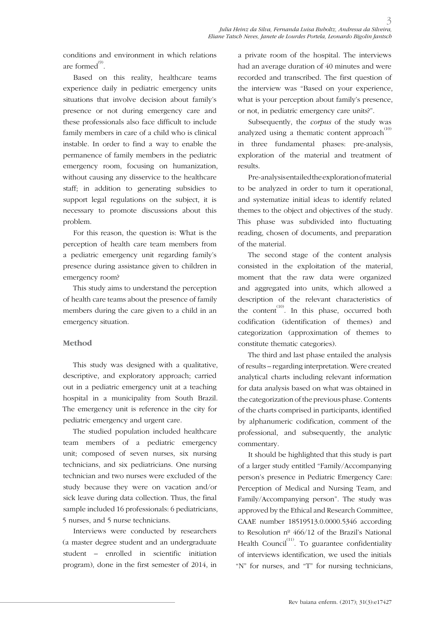conditions and environment in which relations are formed $^{\textrm{\tiny{(9)}}}.$ 

Based on this reality, healthcare teams experience daily in pediatric emergency units situations that involve decision about family's presence or not during emergency care and these professionals also face difficult to include family members in care of a child who is clinical instable. In order to find a way to enable the permanence of family members in the pediatric emergency room, focusing on humanization, without causing any disservice to the healthcare staff; in addition to generating subsidies to support legal regulations on the subject, it is necessary to promote discussions about this problem.

For this reason, the question is: What is the perception of health care team members from a pediatric emergency unit regarding family's presence during assistance given to children in emergency room?

This study aims to understand the perception of health care teams about the presence of family members during the care given to a child in an emergency situation.

#### **Method**

This study was designed with a qualitative, descriptive, and exploratory approach; carried out in a pediatric emergency unit at a teaching hospital in a municipality from South Brazil. The emergency unit is reference in the city for pediatric emergency and urgent care.

The studied population included healthcare team members of a pediatric emergency unit; composed of seven nurses, six nursing technicians, and six pediatricians. One nursing technician and two nurses were excluded of the study because they were on vacation and/or sick leave during data collection. Thus, the final sample included 16 professionals: 6 pediatricians, 5 nurses, and 5 nurse technicians.

Interviews were conducted by researchers (a master degree student and an undergraduate student – enrolled in scientific initiation program), done in the first semester of 2014, in a private room of the hospital. The interviews had an average duration of 40 minutes and were recorded and transcribed. The first question of the interview was "Based on your experience, what is your perception about family's presence, or not, in pediatric emergency care units?".

Subsequently, the *corpus* of the study was analyzed using a thematic content approach<sup> $(10)$ </sup> in three fundamental phases: pre-analysis, exploration of the material and treatment of results.

Pre-analysis entailed the exploration of material to be analyzed in order to turn it operational, and systematize initial ideas to identify related themes to the object and objectives of the study. This phase was subdivided into fluctuating reading, chosen of documents, and preparation of the material.

The second stage of the content analysis consisted in the exploitation of the material, moment that the raw data were organized and aggregated into units, which allowed a description of the relevant characteristics of the content<sup> $(10)$ </sup>. In this phase, occurred both codification (identification of themes) and categorization (approximation of themes to constitute thematic categories).

The third and last phase entailed the analysis of results – regarding interpretation. Were created analytical charts including relevant information for data analysis based on what was obtained in the categorization of the previous phase. Contents of the charts comprised in participants, identified by alphanumeric codification, comment of the professional, and subsequently, the analytic commentary.

It should be highlighted that this study is part of a larger study entitled "Family/Accompanying person's presence in Pediatric Emergency Care: Perception of Medical and Nursing Team, and Family/Accompanying person". The study was approved by the Ethical and Research Committee, CAAE number 18519513.0.0000.5346 according to Resolution nº 466/12 of the Brazil's National Health Council<sup> $(11)$ </sup>. To guarantee confidentiality of interviews identification, we used the initials "N" for nurses, and "T" for nursing technicians,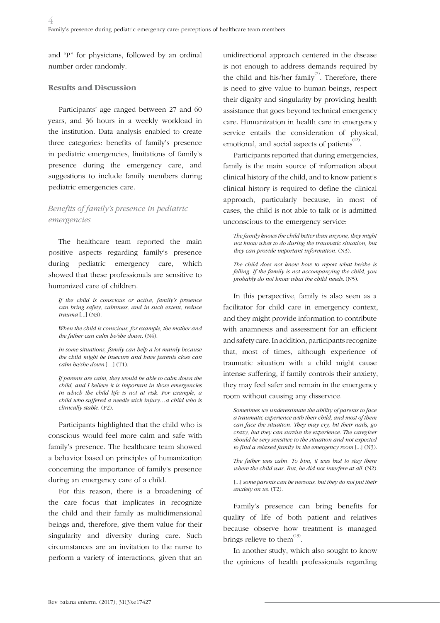and "P" for physicians, followed by an ordinal number order randomly.

#### **Results and Discussion**

Participants' age ranged between 27 and 60 years, and 36 hours in a weekly workload in the institution. Data analysis enabled to create three categories: benefits of family's presence in pediatric emergencies, limitations of family's presence during the emergency care, and suggestions to include family members during pediatric emergencies care.

## *Benefits of family's presence in pediatric emergencies*

The healthcare team reported the main positive aspects regarding family's presence during pediatric emergency care, which showed that these professionals are sensitive to humanized care of children.

*If the child is conscious or active, family's presence can bring safety, calmness, and in such extent, reduce trauma* [...] (N3).

*When the child is conscious, for example, the mother and the father can calm he/she down.* (N4).

*In some situations, family can help a lot mainly because the child might be insecure and have parents close can calm he/she down* […] (T1).

*If parents are calm, they would be able to calm down the child, and I believe it is important in those emergencies in which the child life is not at risk. For example, a child who suffered a needle stick injury…a child who is clinically stable.* (P2).

Participants highlighted that the child who is conscious would feel more calm and safe with family's presence. The healthcare team showed a behavior based on principles of humanization concerning the importance of family's presence during an emergency care of a child.

For this reason, there is a broadening of the care focus that implicates in recognize the child and their family as multidimensional beings and, therefore, give them value for their singularity and diversity during care. Such circumstances are an invitation to the nurse to perform a variety of interactions, given that an

unidirectional approach centered in the disease is not enough to address demands required by the child and his/her family<sup> $(7)$ </sup>. Therefore, there is need to give value to human beings, respect their dignity and singularity by providing health assistance that goes beyond technical emergency care. Humanization in health care in emergency service entails the consideration of physical, emotional, and social aspects of patients  $\overset{(12)}{.}$ 

Participants reported that during emergencies, family is the main source of information about clinical history of the child, and to know patient's clinical history is required to define the clinical approach, particularly because, in most of cases, the child is not able to talk or is admitted unconscious to the emergency service:

*The family knows the child better than anyone, they might not know what to do during the traumatic situation, but they can provide important information.* (N3).

*The child does not know how to report what he/she is felling. If the family is not accompanying the child, you probably do not know what the child needs.* (N5).

In this perspective, family is also seen as a facilitator for child care in emergency context, and they might provide information to contribute with anamnesis and assessment for an efficient and safety care. In addition, participants recognize that, most of times, although experience of traumatic situation with a child might cause intense suffering, if family controls their anxiety, they may feel safer and remain in the emergency room without causing any disservice.

*Sometimes we underestimate the ability of parents to face a traumatic experience with their child, and most of them can face the situation. They may cry, bit their nails, go crazy, but they can survive the experience. The caregiver should be very sensitive to the situation and not expected to find a relaxed family in the emergency room* [...] (N3).

*The father was calm. To him, it was best to stay there where the child was. But, he did not interfere at all.* (N2).

[...] *some parents can be nervous, but they do not put their anxiety on us.* (T2).

Family's presence can bring benefits for quality of life of both patient and relatives because observe how treatment is managed brings relieve to them  $^{(13)}$ .

In another study, which also sought to know the opinions of health professionals regarding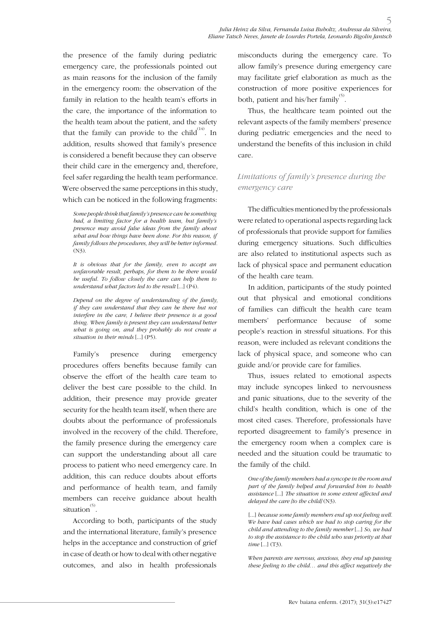the presence of the family during pediatric emergency care, the professionals pointed out as main reasons for the inclusion of the family in the emergency room: the observation of the family in relation to the health team's efforts in the care, the importance of the information to the health team about the patient, and the safety that the family can provide to the child $^{(14)}$ . In addition, results showed that family's presence is considered a benefit because they can observe their child care in the emergency and, therefore, feel safer regarding the health team performance. Were observed the same perceptions in this study, which can be noticed in the following fragments:

*Some people think that family's presence can be something bad, a limiting factor for a health team, but family's presence may avoid false ideas from the family about what and how things have been done. For this reason, if family follows the procedures, they will be better informed.*  (N3).

*It is obvious that for the family, even to accept an unfavorable result, perhaps, for them to be there would be useful. To follow closely the care can help them to understand what factors led to the result* [...] (P4).

*Depend on the degree of understanding of the family, if they can understand that they can be there but not interfere in the care, I believe their presence is a good thing. When family is present they can understand better what is going on, and they probably do not create a situation in their minds* [...] (P5).

Family's presence during emergency procedures offers benefits because family can observe the effort of the health care team to deliver the best care possible to the child. In addition, their presence may provide greater security for the health team itself, when there are doubts about the performance of professionals involved in the recovery of the child. Therefore, the family presence during the emergency care can support the understanding about all care process to patient who need emergency care. In addition, this can reduce doubts about efforts and performance of health team, and family members can receive guidance about health situation<sup>(5)</sup>.

According to both, participants of the study and the international literature, family's presence helps in the acceptance and construction of grief in case of death or how to deal with other negative outcomes, and also in health professionals

misconducts during the emergency care. To allow family's presence during emergency care may facilitate grief elaboration as much as the construction of more positive experiences for both, patient and his/her family $^{(5)}$ .

Thus, the healthcare team pointed out the relevant aspects of the family members' presence during pediatric emergencies and the need to understand the benefits of this inclusion in child care.

## *Limitations of family's presence during the emergency care*

The difficulties mentioned by the professionals were related to operational aspects regarding lack of professionals that provide support for families during emergency situations. Such difficulties are also related to institutional aspects such as lack of physical space and permanent education of the health care team.

In addition, participants of the study pointed out that physical and emotional conditions of families can difficult the health care team members' performance because of some people's reaction in stressful situations. For this reason, were included as relevant conditions the lack of physical space, and someone who can guide and/or provide care for families.

Thus, issues related to emotional aspects may include syncopes linked to nervousness and panic situations, due to the severity of the child's health condition, which is one of the most cited cases. Therefore, professionals have reported disagreement to family's presence in the emergency room when a complex care is needed and the situation could be traumatic to the family of the child.

*One of the family members had a syncope in the room and part of the family helped and forwarded him to health assistance* [...] *The situation in some extent affected and delayed the care [to the child]* (N3).

[...] *because some family members end up not feeling well*. *We have had cases which we had to stop caring for the child and attending to the family member* [...] *So, we had to stop the assistance to the child who was priority at that time* [...] (T3).

*When parents are nervous, anxious, they end up passing these feeling to the child… and this affect negatively the*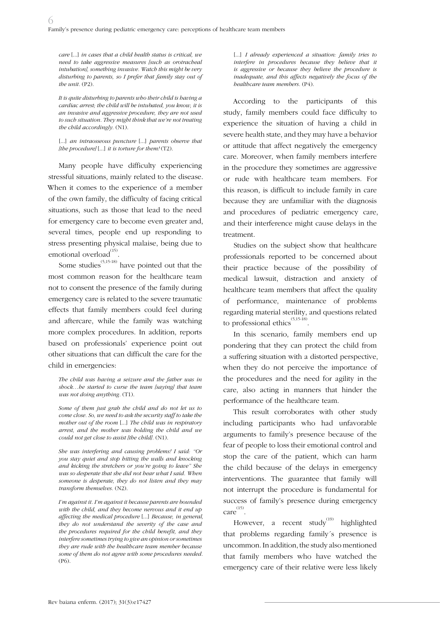*care* [...] *in cases that a child health status is critical, we need to take aggressive measures [such as orotracheal intubation], something invasive. Watch this might be very disturbing to parents, so I prefer that family stay out of the unit.* (P2).

*It is quite disturbing to parents who their child is having a cardiac arrest; the child will be intubated, you know, it is an invasive and aggressive procedure, they are not used to such situation. They might think that we're not treating the child accordingly.* (N1).

[...] *an intraosseous puncture* [...] *parents observe that [the procedure]* [...] *it is torture for them!* (T2).

Many people have difficulty experiencing stressful situations, mainly related to the disease. When it comes to the experience of a member of the own family, the difficulty of facing critical situations, such as those that lead to the need for emergency care to become even greater and, several times, people end up responding to stress presenting physical malaise, being due to emotional overload<sup>(15)</sup>.

Some studies  $(5,15-18)$  have pointed out that the most common reason for the healthcare team not to consent the presence of the family during emergency care is related to the severe traumatic effects that family members could feel during and aftercare, while the family was watching more complex procedures. In addition, reports based on professionals' experience point out other situations that can difficult the care for the child in emergencies:

*The child was having a seizure and the father was in shock…he started to curse the team [saying] that team was not doing anything.* (T1).

*Some of them just grab the child and do not let us to come close. So, we need to ask the security staff to take the mother out of the room* [...] *The child was in respiratory arrest, and the mother was holding the child and we could not get close to assist [the child].* (N1).

*She was interfering and causing problems! I said: "Or you stay quiet and stop hitting the walls and knocking and kicking the stretchers or you're going to leave" She was so desperate that she did not hear what I said. When someone is desperate, they do not listen and they may transform themselves.* (N2).

*I'm against it. I'm against it because parents are bounded with the child, and they become nervous and it end up affecting the medical procedure* [...] *Because, in general, they do not understand the severity of the case and the procedures required for the child benefit, and they interfere sometimes trying to give an opinion or sometimes they are rude with the healthcare team member because some of them do not agree with some procedures needed.*  (P6).

[...] *I already experienced a situation: family tries to interfere in procedures because they believe that it is aggressive or because they believe the procedure is inadequate, and this affects negatively the focus of the healthcare team members.* (P4).

According to the participants of this study, family members could face difficulty to experience the situation of having a child in severe health state, and they may have a behavior or attitude that affect negatively the emergency care. Moreover, when family members interfere in the procedure they sometimes are aggressive or rude with healthcare team members. For this reason, is difficult to include family in care because they are unfamiliar with the diagnosis and procedures of pediatric emergency care, and their interference might cause delays in the treatment.

Studies on the subject show that healthcare professionals reported to be concerned about their practice because of the possibility of medical lawsuit, distraction and anxiety of healthcare team members that affect the quality of performance, maintenance of problems regarding material sterility, and questions related to professional ethics<sup>(5,15-18)</sup>.

In this scenario, family members end up pondering that they can protect the child from a suffering situation with a distorted perspective, when they do not perceive the importance of the procedures and the need for agility in the care, also acting in manners that hinder the performance of the healthcare team.

This result corroborates with other study including participants who had unfavorable arguments to family's presence because of the fear of people to loss their emotional control and stop the care of the patient, which can harm the child because of the delays in emergency interventions. The guarantee that family will not interrupt the procedure is fundamental for success of family's presence during emergency care (15) .

However, a recent study<sup>(19)</sup> highlighted that problems regarding family´s presence is uncommon. In addition, the study also mentioned that family members who have watched the emergency care of their relative were less likely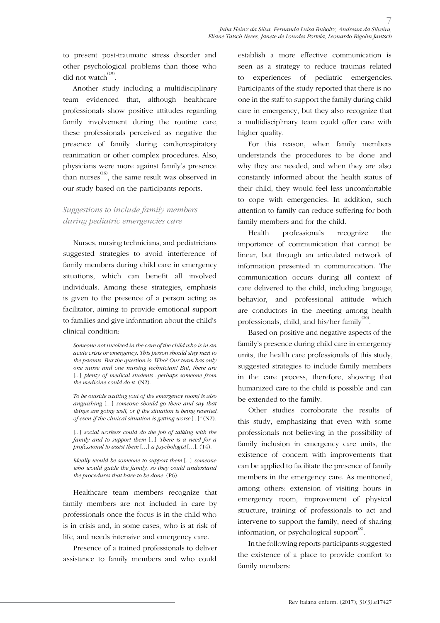to present post-traumatic stress disorder and other psychological problems than those who did not watch $^{(19)}$ .

Another study including a multidisciplinary team evidenced that, although healthcare professionals show positive attitudes regarding family involvement during the routine care, these professionals perceived as negative the presence of family during cardiorespiratory reanimation or other complex procedures. Also, physicians were more against family's presence than nurses<sup>(16)</sup>, the same result was observed in our study based on the participants reports.

## *Suggestions to include family members during pediatric emergencies care*

Nurses, nursing technicians, and pediatricians suggested strategies to avoid interference of family members during child care in emergency situations, which can benefit all involved individuals. Among these strategies, emphasis is given to the presence of a person acting as facilitator, aiming to provide emotional support to families and give information about the child's clinical condition:

*Someone not involved in the care of the child who is in an acute crisis or emergency. This person should stay next to the parents. But the question is: Who? Our team has only one nurse and one nursing technician! But, there are* [...] *plenty of medical students...perbaps someone from the medicine could do it.* (N2).

*To be outside waiting [out of the emergency room] is also anguishing* […] *someone should go there and say that things are going well, or if the situation is being reverted, of even if the clinical situation is getting worse* [...]*"* (N2).

[...] *social workers could do the job of talking with the family and to support them* [...] *There is a need for a professional to assist them* […] *a psychologist* […]. (T4).

*Ideally would be someone to support them* [...] *someone who would guide the family, so they could understand the procedures that have to be done.* (P6).

Healthcare team members recognize that family members are not included in care by professionals once the focus is in the child who is in crisis and, in some cases, who is at risk of life, and needs intensive and emergency care.

Presence of a trained professionals to deliver assistance to family members and who could establish a more effective communication is seen as a strategy to reduce traumas related to experiences of pediatric emergencies. Participants of the study reported that there is no one in the staff to support the family during child care in emergency, but they also recognize that a multidisciplinary team could offer care with higher quality.

For this reason, when family members understands the procedures to be done and why they are needed, and when they are also constantly informed about the health status of their child, they would feel less uncomfortable to cope with emergencies. In addition, such attention to family can reduce suffering for both family members and for the child.

Health professionals recognize the importance of communication that cannot be linear, but through an articulated network of information presented in communication. The communication occurs during all context of care delivered to the child, including language, behavior, and professional attitude which are conductors in the meeting among health professionals, child, and his/her family $^{(20)}$ .

Based on positive and negative aspects of the family's presence during child care in emergency units, the health care professionals of this study, suggested strategies to include family members in the care process, therefore, showing that humanized care to the child is possible and can be extended to the family.

Other studies corroborate the results of this study, emphasizing that even with some professionals not believing in the possibility of family inclusion in emergency care units, the existence of concern with improvements that can be applied to facilitate the presence of family members in the emergency care. As mentioned, among others: extension of visiting hours in emergency room, improvement of physical structure, training of professionals to act and intervene to support the family, need of sharing information, or psychological support<sup>(8)</sup>.

In the following reports participants suggested the existence of a place to provide comfort to family members: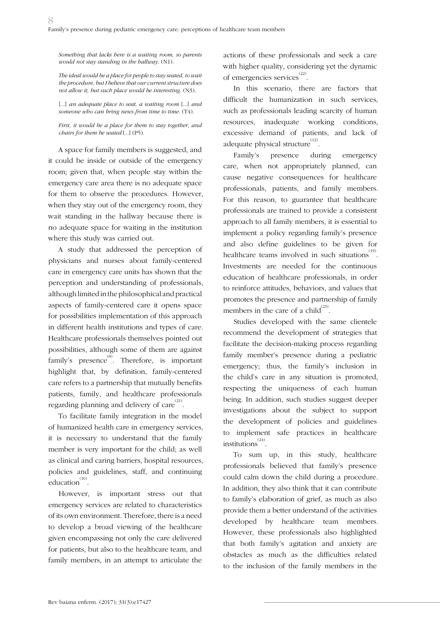*Something that lacks here is a waiting room, so parents would not stay standing in the hallway.* (N1).

*The ideal would be a place for people to stay seated, to wait the procedure, but I believe that our current structure does not allow it, but such place would be interesting.* (N3).

[...] *an adequate place to seat, a waiting room* [...] *and someone who can bring news from time to time.* (T4).

*First, it would be a place for them to stay together, and chairs for them be seated* [...] (P5).

A space for family members is suggested, and it could be inside or outside of the emergency room; given that, when people stay within the emergency care area there is no adequate space for them to observe the procedures. However, when they stay out of the emergency room, they wait standing in the hallway because there is no adequate space for waiting in the institution where this study was carried out.

A study that addressed the perception of physicians and nurses about family-centered care in emergency care units has shown that the perception and understanding of professionals, although limited in the philosophical and practical aspects of family-centered care it opens space for possibilities implementation of this approach in different health institutions and types of care. Healthcare professionals themselves pointed out possibilities, although some of them are against family's presence $^{(8)}$ . Therefore, is important highlight that, by definition, family-centered care refers to a partnership that mutually benefits patients, family, and healthcare professionals regarding planning and delivery of care $^{(21)}$ .

To facilitate family integration in the model of humanized health care in emergency services, it is necessary to understand that the family member is very important for the child; as well as clinical and caring barriers, hospital resources, policies and guidelines, staff, and continuing education $^{(16)}$ .

However, is important stress out that emergency services are related to characteristics of its own environment. Therefore, there is a need to develop a broad viewing of the healthcare given encompassing not only the care delivered for patients, but also to the healthcare team, and family members, in an attempt to articulate the

actions of these professionals and seek a care with higher quality, considering yet the dynamic of emergencies services<sup>(22)</sup>.

In this scenario, there are factors that difficult the humanization in such services, such as professionals leading scarcity of human resources, inadequate working conditions, excessive demand of patients, and lack of adequate physical structure $^{(12)}$ .

Family's presence during emergency care, when not appropriately planned, can cause negative consequences for healthcare professionals, patients, and family members. For this reason, to guarantee that healthcare professionals are trained to provide a consistent approach to all family members, it is essential to implement a policy regarding family's presence and also define guidelines to be given for healthcare teams involved in such situations<sup>(19)</sup>. Investments are needed for the continuous education of healthcare professionals, in order to reinforce attitudes, behaviors, and values that promotes the presence and partnership of family members in the care of a child $^{(23)}$ .

Studies developed with the same clientele recommend the development of strategies that facilitate the decision-making process regarding family member's presence during a pediatric emergency; thus, the family's inclusion in the child's care in any situation is promoted, respecting the uniqueness of each human being. In addition, such studies suggest deeper investigations about the subject to support the development of policies and guidelines to implement safe practices in healthcare institutions<sup>(24)</sup>.

To sum up, in this study, healthcare professionals believed that family's presence could calm down the child during a procedure. In addition, they also think that it can contribute to family's elaboration of grief, as much as also provide them a better understand of the activities developed by healthcare team members. However, these professionals also highlighted that both family's agitation and anxiety are obstacles as much as the difficulties related to the inclusion of the family members in the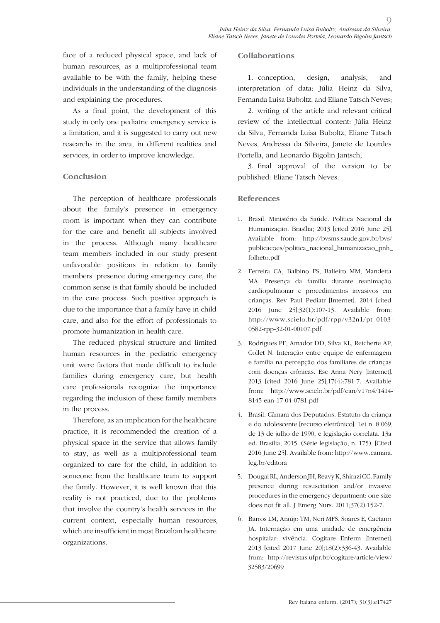face of a reduced physical space, and lack of human resources, as a multiprofessional team available to be with the family, helping these individuals in the understanding of the diagnosis and explaining the procedures.

As a final point, the development of this study in only one pediatric emergency service is a limitation, and it is suggested to carry out new researchs in the area, in different realities and services, in order to improve knowledge.

### **Conclusion**

The perception of healthcare professionals about the family's presence in emergency room is important when they can contribute for the care and benefit all subjects involved in the process. Although many healthcare team members included in our study present unfavorable positions in relation to family members' presence during emergency care, the common sense is that family should be included in the care process. Such positive approach is due to the importance that a family have in child care, and also for the effort of professionals to promote humanization in health care.

The reduced physical structure and limited human resources in the pediatric emergency unit were factors that made difficult to include families during emergency care, but health care professionals recognize the importance regarding the inclusion of these family members in the process.

Therefore, as an implication for the healthcare practice, it is recommended the creation of a physical space in the service that allows family to stay, as well as a multiprofessional team organized to care for the child, in addition to someone from the healthcare team to support the family. However, it is well known that this reality is not practiced, due to the problems that involve the country's health services in the current context, especially human resources, which are insufficient in most Brazilian healthcare organizations.

### **Collaborations**

1. conception, design, analysis, and interpretation of data: Júlia Heinz da Silva, Fernanda Luisa Buboltz, and Eliane Tatsch Neves;

 $\overline{O}$ 

2. writing of the article and relevant critical review of the intellectual content: Júlia Heinz da Silva, Fernanda Luisa Buboltz, Eliane Tatsch Neves, Andressa da Silveira, Janete de Lourdes Portella, and Leonardo Bigolin Jantsch;

3. final approval of the version to be published: Eliane Tatsch Neves.

### **References**

- 1. Brasil. Ministério da Saúde. Política Nacional da Humanização. Brasília; 2013 [cited 2016 June 25]. Available from: http://bvsms.saude.gov.br/bvs/ publicacoes/politica\_nacional\_humanizacao\_pnh\_ folheto.pdf
- 2. Ferreira CA, Balbino FS, Balieiro MM, Mandetta MA. Presença da família durante reanimação cardiopulmonar e procedimentos invasivos em crianças. Rev Paul Pediatr [Internet]. 2014 [cited 2016 June 25];32(1):107-13. Available from: http://www.scielo.br/pdf/rpp/v32n1/pt\_0103- 0582-rpp-32-01-00107.pdf
- 3. Rodrigues PF, Amador DD, Silva KL, Reicherte AP, Collet N. Interação entre equipe de enfermagem e família na percepção dos familiares de crianças com doenças crônicas. Esc Anna Nery [Internet]. 2013 [cited 2016 June 25];17(4):781-7. Available from: http://www.scielo.br/pdf/ean/v17n4/1414- 8145-ean-17-04-0781.pdf
- 4. Brasil. Câmara dos Deputados. Estatuto da criança e do adolescente [recurso eletrônico]: Lei n. 8.069, de 13 de julho de 1990, e legislação correlata. 13a ed. Brasília; 2015. (Série legislação; n. 175). [Cited 2016 June 25]. Available from: http://www.camara. leg.br/editora
- 5. Dougal RL, Anderson JH, Reavy K, Shirazi CC. Family presence during resuscitation and/or invasive procedures in the emergency department: one size does not fit all. J Emerg Nurs. 2011;37(2):152-7.
- 6. Barros LM, Araújo TM, Neri MFS, Soares E, Caetano JA. Internação em uma unidade de emergência hospitalar: vivência. Cogitare Enferm [Internet]. 2013 [cited 2017 June 20];18(2):336-43. Available from: http://revistas.ufpr.br/cogitare/article/view/ 32583/20699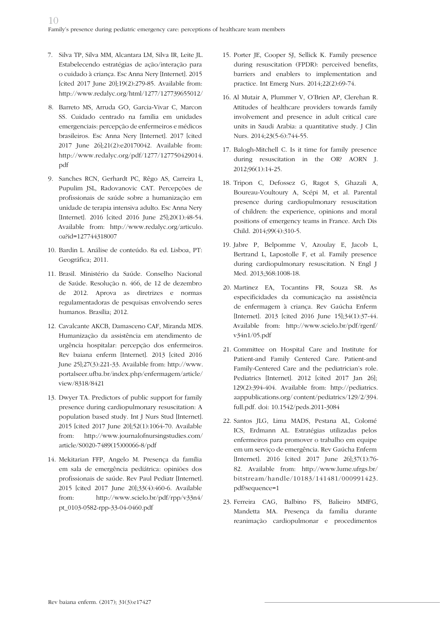- 7. Silva TP, Silva MM, Alcantara LM, Silva IR, Leite JL. Estabelecendo estratégias de ação/interação para o cuidado à criança. Esc Anna Nery [Internet]. 2015 [cited 2017 June 20];19(2):279-85. Available from: http://www.redalyc.org/html/1277/127739655012/
- 8. Barreto MS, Arruda GO, Garcia-Vivar C, Marcon SS. Cuidado centrado na família em unidades emergenciais: percepção de enfermeiros e médicos brasileiros. Esc Anna Nery [Internet]. 2017 [cited 2017 June 26];21(2):e20170042. Available from: http://www.redalyc.org/pdf/1277/127750429014. pdf
- 9. Sanches RCN, Gerhardt PC, Rêgo AS, Carreira L, Pupulim JSL, Radovanovic CAT. Percepções de profissionais de saúde sobre a humanização em unidade de terapia intensiva adulto. Esc Anna Nery [Internet]. 2016 [cited 2016 June 25];20(1):48-54. Available from: http://www.redalyc.org/articulo. oa?id=127744318007
- 10. Bardin L. Análise de conteúdo. 8a ed. Lisboa, PT: Geográfica; 2011.
- 11. Brasil. Ministério da Saúde. Conselho Nacional de Saúde. Resolução n. 466, de 12 de dezembro de 2012. Aprova as diretrizes e normas regulamentadoras de pesquisas envolvendo seres humanos. Brasília; 2012.
- 12. Cavalcante AKCB, Damasceno CAF, Miranda MDS. Humanização da assistência em atendimento de urgência hospitalar: percepção dos enfermeiros. Rev baiana enferm [Internet]. 2013 [cited 2016 June 25];27(3):221-33. Available from: http://www. portalseer.ufba.br/index.php/enfermagem/article/ view/8318/8421
- 13. Dwyer TA. Predictors of public support for family presence during cardiopulmonary resuscitation: A population based study. Int J Nurs Stud [Internet]. 2015 [cited 2017 June 20];52(1):1064-70. Available from: http://www.journalofnursingstudies.com/ article/S0020-7489(15)00066-8/pdf
- 14. Mekitarian FFP, Angelo M. Presença da família em sala de emergência pediátrica: opiniões dos profissionais de saúde. Rev Paul Pediatr [Internet]. 2015 [cited 2017 June 20];33(4):460-6. Available from: http://www.scielo.br/pdf/rpp/v33n4/ pt\_0103-0582-rpp-33-04-0460.pdf
- 15. Porter JE, Cooper SJ, Sellick K. Family presence during resuscitation (FPDR): perceived benefits, barriers and enablers to implementation and practice. Int Emerg Nurs. 2014;22(2):69-74.
- 16. Al Mutair A, Plummer V, O'Brien AP, Clerehan R. Attitudes of healthcare providers towards family involvement and presence in adult critical care units in Saudi Arabia: a quantitative study. J Clin Nurs. 2014;23(5-6):744-55.
- 17. Balogh-Mitchell C. Is it time for family presence during resuscitation in the OR? AORN J. 2012;96(1):14-25.
- 18. Tripon C, Defossez G, Ragot S, Ghazali A, Boureau-Voultoury A, Scépi M, et al. Parental presence during cardiopulmonary resuscitation of children: the experience, opinions and moral positions of emergency teams in France. Arch Dis Child. 2014;99(4):310-5.
- 19. Jabre P, Belpomme V, Azoulay E, Jacob L, Bertrand L, Lapostolle F, et al. Family presence during cardiopulmonary resuscitation. N Engl J Med. 2013;368:1008-18.
- 20. Martinez EA, Tocantins FR, Souza SR. As especificidades da comunicação na assistência de enfermagem à criança. Rev Gaúcha Enferm [Internet]. 2013 [cited 2016 June 15];34(1):37-44. Available from: http://www.scielo.br/pdf/rgenf/ v34n1/05.pdf
- 21. Committee on Hospital Care and Institute for Patient-and Family Centered Care. Patient-and Family-Centered Care and the pediatrician's role. Pediatrics [Internet]. 2012 [cited 2017 Jan 26]: 129(2):394-404. Available from: http://pediatrics. aappublications.org/ content/pediatrics/129/2/394. full.pdf. doi: 10.1542/peds.2011-3084
- 22. Santos JLG, Lima MADS, Pestana AL, Colomé ICS, Erdmann AL. Estratégias utilizadas pelos enfermeiros para promover o trabalho em equipe em um serviço de emergência. Rev Gaúcha Enferm [Internet]. 2016 [cited 2017 June 26];37(1):76- 82. Available from: http://www.lume.ufrgs.br/ bitstream/handle/10183/141481/000991423. pdf?sequence=1
- 23. Ferreira CAG, Balbino FS, Balieiro MMFG, Mandetta MA. Presença da família durante reanimação cardiopulmonar e procedimentos